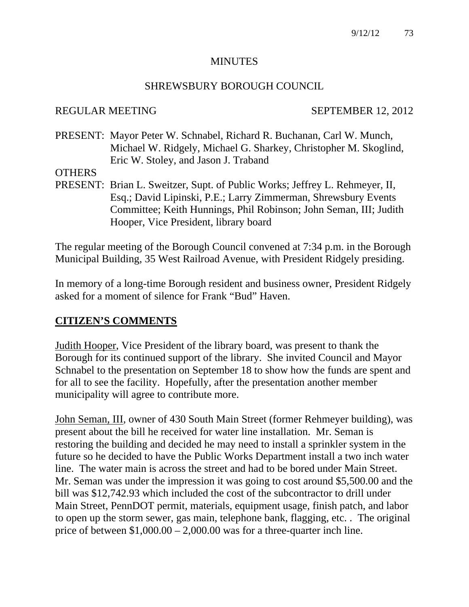#### **MINUTES**

#### SHREWSBURY BOROUGH COUNCIL

#### REGULAR MEETING SEPTEMBER 12, 2012

PRESENT: Mayor Peter W. Schnabel, Richard R. Buchanan, Carl W. Munch, Michael W. Ridgely, Michael G. Sharkey, Christopher M. Skoglind, Eric W. Stoley, and Jason J. Traband

**OTHERS** 

PRESENT: Brian L. Sweitzer, Supt. of Public Works; Jeffrey L. Rehmeyer, II, Esq.; David Lipinski, P.E.; Larry Zimmerman, Shrewsbury Events Committee; Keith Hunnings, Phil Robinson; John Seman, III; Judith Hooper, Vice President, library board

The regular meeting of the Borough Council convened at 7:34 p.m. in the Borough Municipal Building, 35 West Railroad Avenue, with President Ridgely presiding.

In memory of a long-time Borough resident and business owner, President Ridgely asked for a moment of silence for Frank "Bud" Haven.

#### **CITIZEN'S COMMENTS**

Judith Hooper, Vice President of the library board, was present to thank the Borough for its continued support of the library. She invited Council and Mayor Schnabel to the presentation on September 18 to show how the funds are spent and for all to see the facility. Hopefully, after the presentation another member municipality will agree to contribute more.

John Seman, III, owner of 430 South Main Street (former Rehmeyer building), was present about the bill he received for water line installation. Mr. Seman is restoring the building and decided he may need to install a sprinkler system in the future so he decided to have the Public Works Department install a two inch water line. The water main is across the street and had to be bored under Main Street. Mr. Seman was under the impression it was going to cost around \$5,500.00 and the bill was \$12,742.93 which included the cost of the subcontractor to drill under Main Street, PennDOT permit, materials, equipment usage, finish patch, and labor to open up the storm sewer, gas main, telephone bank, flagging, etc. . The original price of between  $$1,000.00 - 2,000.00$  was for a three-quarter inch line.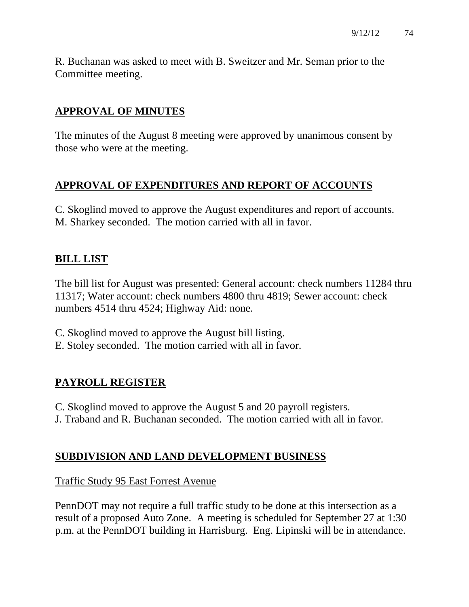R. Buchanan was asked to meet with B. Sweitzer and Mr. Seman prior to the Committee meeting.

# **APPROVAL OF MINUTES**

The minutes of the August 8 meeting were approved by unanimous consent by those who were at the meeting.

# **APPROVAL OF EXPENDITURES AND REPORT OF ACCOUNTS**

C. Skoglind moved to approve the August expenditures and report of accounts. M. Sharkey seconded. The motion carried with all in favor.

# **BILL LIST**

The bill list for August was presented: General account: check numbers 11284 thru 11317; Water account: check numbers 4800 thru 4819; Sewer account: check numbers 4514 thru 4524; Highway Aid: none.

- C. Skoglind moved to approve the August bill listing.
- E. Stoley seconded. The motion carried with all in favor.

# **PAYROLL REGISTER**

- C. Skoglind moved to approve the August 5 and 20 payroll registers.
- J. Traband and R. Buchanan seconded. The motion carried with all in favor.

# **SUBDIVISION AND LAND DEVELOPMENT BUSINESS**

#### Traffic Study 95 East Forrest Avenue

PennDOT may not require a full traffic study to be done at this intersection as a result of a proposed Auto Zone. A meeting is scheduled for September 27 at 1:30 p.m. at the PennDOT building in Harrisburg. Eng. Lipinski will be in attendance.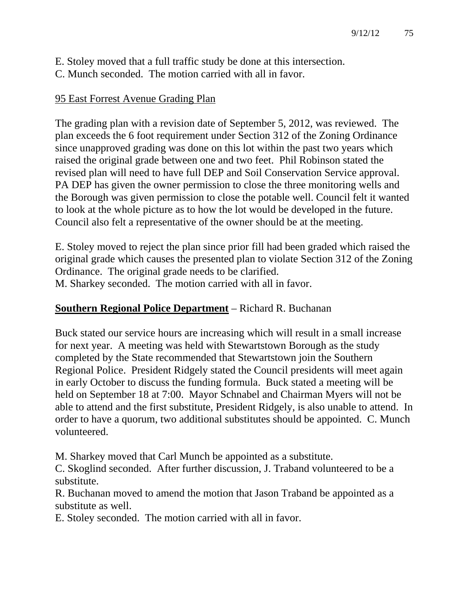- E. Stoley moved that a full traffic study be done at this intersection.
- C. Munch seconded. The motion carried with all in favor.

# 95 East Forrest Avenue Grading Plan

The grading plan with a revision date of September 5, 2012, was reviewed. The plan exceeds the 6 foot requirement under Section 312 of the Zoning Ordinance since unapproved grading was done on this lot within the past two years which raised the original grade between one and two feet. Phil Robinson stated the revised plan will need to have full DEP and Soil Conservation Service approval. PA DEP has given the owner permission to close the three monitoring wells and the Borough was given permission to close the potable well. Council felt it wanted to look at the whole picture as to how the lot would be developed in the future. Council also felt a representative of the owner should be at the meeting.

E. Stoley moved to reject the plan since prior fill had been graded which raised the original grade which causes the presented plan to violate Section 312 of the Zoning Ordinance. The original grade needs to be clarified. M. Sharkey seconded. The motion carried with all in favor.

# **Southern Regional Police Department** – Richard R. Buchanan

Buck stated our service hours are increasing which will result in a small increase for next year. A meeting was held with Stewartstown Borough as the study completed by the State recommended that Stewartstown join the Southern Regional Police. President Ridgely stated the Council presidents will meet again in early October to discuss the funding formula. Buck stated a meeting will be held on September 18 at 7:00. Mayor Schnabel and Chairman Myers will not be able to attend and the first substitute, President Ridgely, is also unable to attend. In order to have a quorum, two additional substitutes should be appointed. C. Munch volunteered.

M. Sharkey moved that Carl Munch be appointed as a substitute.

C. Skoglind seconded. After further discussion, J. Traband volunteered to be a substitute.

R. Buchanan moved to amend the motion that Jason Traband be appointed as a substitute as well.

E. Stoley seconded. The motion carried with all in favor.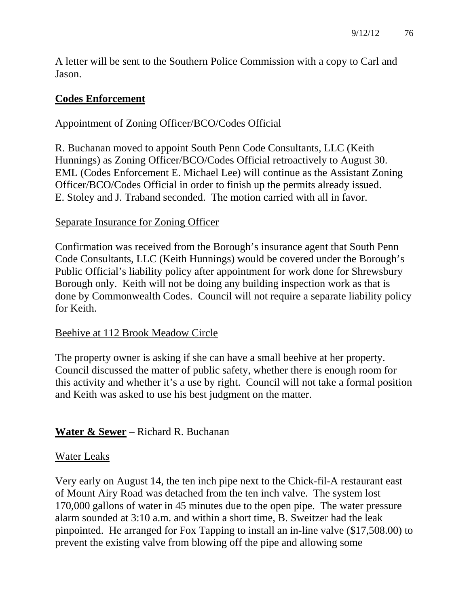A letter will be sent to the Southern Police Commission with a copy to Carl and Jason.

# **Codes Enforcement**

#### Appointment of Zoning Officer/BCO/Codes Official

R. Buchanan moved to appoint South Penn Code Consultants, LLC (Keith Hunnings) as Zoning Officer/BCO/Codes Official retroactively to August 30. EML (Codes Enforcement E. Michael Lee) will continue as the Assistant Zoning Officer/BCO/Codes Official in order to finish up the permits already issued. E. Stoley and J. Traband seconded. The motion carried with all in favor.

#### Separate Insurance for Zoning Officer

Confirmation was received from the Borough's insurance agent that South Penn Code Consultants, LLC (Keith Hunnings) would be covered under the Borough's Public Official's liability policy after appointment for work done for Shrewsbury Borough only. Keith will not be doing any building inspection work as that is done by Commonwealth Codes. Council will not require a separate liability policy for Keith.

#### Beehive at 112 Brook Meadow Circle

The property owner is asking if she can have a small beehive at her property. Council discussed the matter of public safety, whether there is enough room for this activity and whether it's a use by right. Council will not take a formal position and Keith was asked to use his best judgment on the matter.

# **Water & Sewer** – Richard R. Buchanan

#### Water Leaks

Very early on August 14, the ten inch pipe next to the Chick-fil-A restaurant east of Mount Airy Road was detached from the ten inch valve. The system lost 170,000 gallons of water in 45 minutes due to the open pipe. The water pressure alarm sounded at 3:10 a.m. and within a short time, B. Sweitzer had the leak pinpointed. He arranged for Fox Tapping to install an in-line valve (\$17,508.00) to prevent the existing valve from blowing off the pipe and allowing some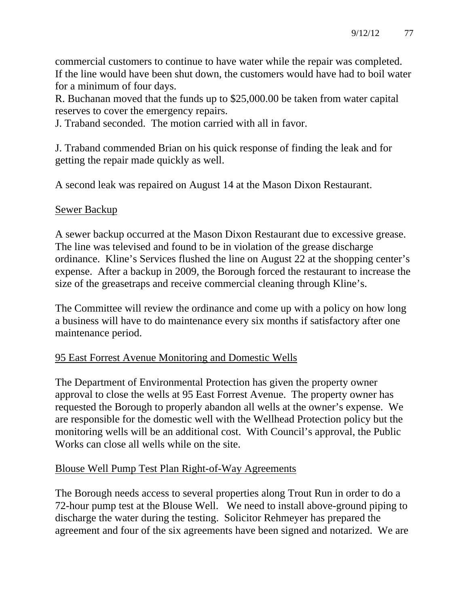commercial customers to continue to have water while the repair was completed. If the line would have been shut down, the customers would have had to boil water for a minimum of four days.

R. Buchanan moved that the funds up to \$25,000.00 be taken from water capital reserves to cover the emergency repairs.

J. Traband seconded. The motion carried with all in favor.

J. Traband commended Brian on his quick response of finding the leak and for getting the repair made quickly as well.

A second leak was repaired on August 14 at the Mason Dixon Restaurant.

#### Sewer Backup

A sewer backup occurred at the Mason Dixon Restaurant due to excessive grease. The line was televised and found to be in violation of the grease discharge ordinance. Kline's Services flushed the line on August 22 at the shopping center's expense. After a backup in 2009, the Borough forced the restaurant to increase the size of the greasetraps and receive commercial cleaning through Kline's.

The Committee will review the ordinance and come up with a policy on how long a business will have to do maintenance every six months if satisfactory after one maintenance period.

# 95 East Forrest Avenue Monitoring and Domestic Wells

The Department of Environmental Protection has given the property owner approval to close the wells at 95 East Forrest Avenue. The property owner has requested the Borough to properly abandon all wells at the owner's expense. We are responsible for the domestic well with the Wellhead Protection policy but the monitoring wells will be an additional cost. With Council's approval, the Public Works can close all wells while on the site.

#### Blouse Well Pump Test Plan Right-of-Way Agreements

The Borough needs access to several properties along Trout Run in order to do a 72-hour pump test at the Blouse Well. We need to install above-ground piping to discharge the water during the testing. Solicitor Rehmeyer has prepared the agreement and four of the six agreements have been signed and notarized. We are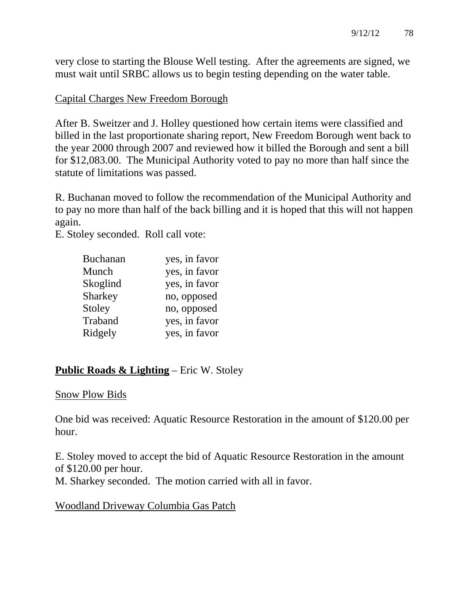very close to starting the Blouse Well testing. After the agreements are signed, we must wait until SRBC allows us to begin testing depending on the water table.

#### Capital Charges New Freedom Borough

After B. Sweitzer and J. Holley questioned how certain items were classified and billed in the last proportionate sharing report, New Freedom Borough went back to the year 2000 through 2007 and reviewed how it billed the Borough and sent a bill for \$12,083.00. The Municipal Authority voted to pay no more than half since the statute of limitations was passed.

R. Buchanan moved to follow the recommendation of the Municipal Authority and to pay no more than half of the back billing and it is hoped that this will not happen again.

E. Stoley seconded. Roll call vote:

| <b>Buchanan</b> | yes, in favor |
|-----------------|---------------|
| Munch           | yes, in favor |
| Skoglind        | yes, in favor |
| Sharkey         | no, opposed   |
| Stoley          | no, opposed   |
| Traband         | yes, in favor |
| Ridgely         | yes, in favor |

# **Public Roads & Lighting** – Eric W. Stoley

#### Snow Plow Bids

One bid was received: Aquatic Resource Restoration in the amount of \$120.00 per hour.

E. Stoley moved to accept the bid of Aquatic Resource Restoration in the amount of \$120.00 per hour.

M. Sharkey seconded. The motion carried with all in favor.

#### Woodland Driveway Columbia Gas Patch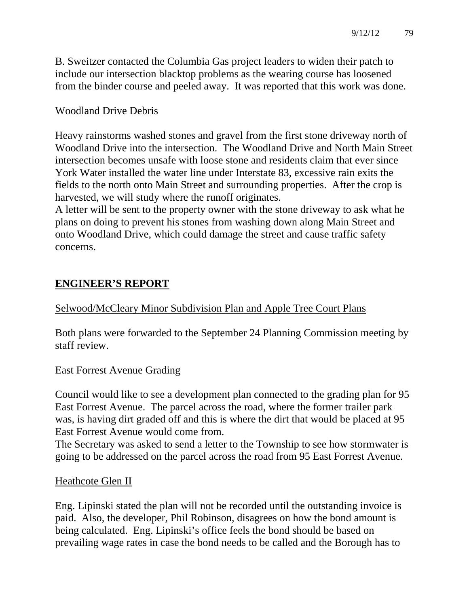B. Sweitzer contacted the Columbia Gas project leaders to widen their patch to include our intersection blacktop problems as the wearing course has loosened from the binder course and peeled away. It was reported that this work was done.

#### Woodland Drive Debris

Heavy rainstorms washed stones and gravel from the first stone driveway north of Woodland Drive into the intersection. The Woodland Drive and North Main Street intersection becomes unsafe with loose stone and residents claim that ever since York Water installed the water line under Interstate 83, excessive rain exits the fields to the north onto Main Street and surrounding properties. After the crop is harvested, we will study where the runoff originates.

A letter will be sent to the property owner with the stone driveway to ask what he plans on doing to prevent his stones from washing down along Main Street and onto Woodland Drive, which could damage the street and cause traffic safety concerns.

# **ENGINEER'S REPORT**

Selwood/McCleary Minor Subdivision Plan and Apple Tree Court Plans

Both plans were forwarded to the September 24 Planning Commission meeting by staff review.

#### East Forrest Avenue Grading

Council would like to see a development plan connected to the grading plan for 95 East Forrest Avenue. The parcel across the road, where the former trailer park was, is having dirt graded off and this is where the dirt that would be placed at 95 East Forrest Avenue would come from.

The Secretary was asked to send a letter to the Township to see how stormwater is going to be addressed on the parcel across the road from 95 East Forrest Avenue.

#### Heathcote Glen II

Eng. Lipinski stated the plan will not be recorded until the outstanding invoice is paid. Also, the developer, Phil Robinson, disagrees on how the bond amount is being calculated. Eng. Lipinski's office feels the bond should be based on prevailing wage rates in case the bond needs to be called and the Borough has to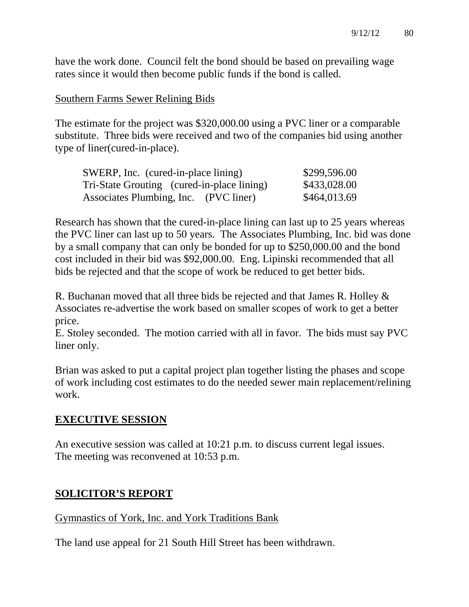have the work done. Council felt the bond should be based on prevailing wage rates since it would then become public funds if the bond is called.

#### Southern Farms Sewer Relining Bids

The estimate for the project was \$320,000.00 using a PVC liner or a comparable substitute. Three bids were received and two of the companies bid using another type of liner(cured-in-place).

| SWERP, Inc. (cured-in-place lining)        | \$299,596.00 |
|--------------------------------------------|--------------|
| Tri-State Grouting (cured-in-place lining) | \$433,028.00 |
| Associates Plumbing, Inc. (PVC liner)      | \$464,013.69 |

Research has shown that the cured-in-place lining can last up to 25 years whereas the PVC liner can last up to 50 years. The Associates Plumbing, Inc. bid was done by a small company that can only be bonded for up to \$250,000.00 and the bond cost included in their bid was \$92,000.00. Eng. Lipinski recommended that all bids be rejected and that the scope of work be reduced to get better bids.

R. Buchanan moved that all three bids be rejected and that James R. Holley & Associates re-advertise the work based on smaller scopes of work to get a better price.

E. Stoley seconded. The motion carried with all in favor. The bids must say PVC liner only.

Brian was asked to put a capital project plan together listing the phases and scope of work including cost estimates to do the needed sewer main replacement/relining work.

#### **EXECUTIVE SESSION**

An executive session was called at 10:21 p.m. to discuss current legal issues. The meeting was reconvened at 10:53 p.m.

#### **SOLICITOR'S REPORT**

#### Gymnastics of York, Inc. and York Traditions Bank

The land use appeal for 21 South Hill Street has been withdrawn.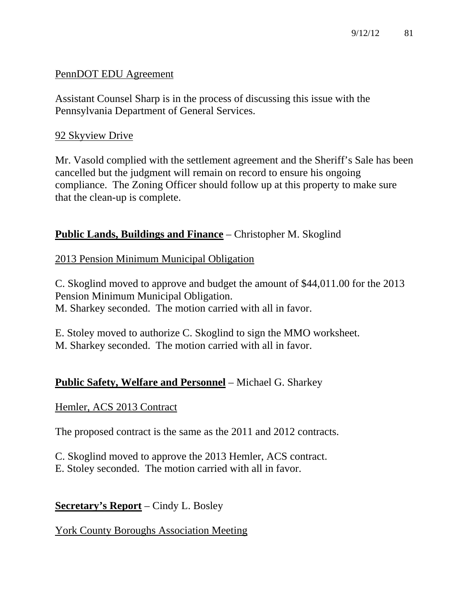#### PennDOT EDU Agreement

Assistant Counsel Sharp is in the process of discussing this issue with the Pennsylvania Department of General Services.

#### 92 Skyview Drive

Mr. Vasold complied with the settlement agreement and the Sheriff's Sale has been cancelled but the judgment will remain on record to ensure his ongoing compliance. The Zoning Officer should follow up at this property to make sure that the clean-up is complete.

#### **Public Lands, Buildings and Finance** – Christopher M. Skoglind

#### 2013 Pension Minimum Municipal Obligation

C. Skoglind moved to approve and budget the amount of \$44,011.00 for the 2013 Pension Minimum Municipal Obligation. M. Sharkey seconded. The motion carried with all in favor.

E. Stoley moved to authorize C. Skoglind to sign the MMO worksheet. M. Sharkey seconded. The motion carried with all in favor.

#### **Public Safety, Welfare and Personnel** – Michael G. Sharkey

#### Hemler, ACS 2013 Contract

The proposed contract is the same as the 2011 and 2012 contracts.

C. Skoglind moved to approve the 2013 Hemler, ACS contract. E. Stoley seconded. The motion carried with all in favor.

#### **Secretary's Report** – Cindy L. Bosley

#### York County Boroughs Association Meeting